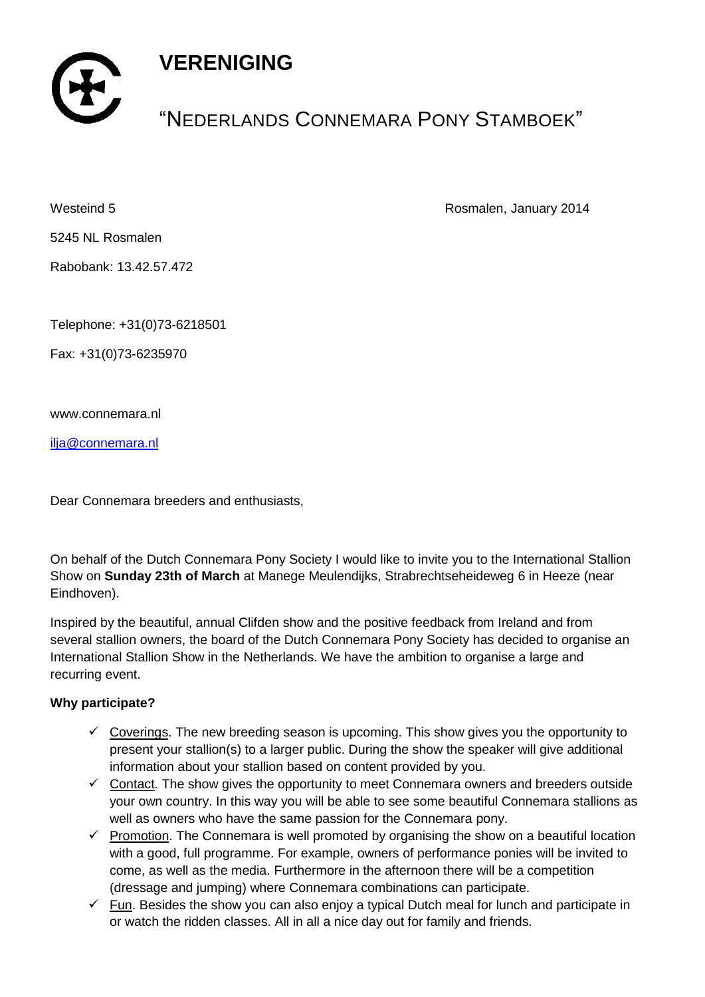## **VERENIGING**



# "NEDERLANDS CONNEMARA PONY STAMBOEK"

Westeind 5 Rosmalen, January 2014

5245 NL Rosmalen

Rabobank: 13.42.57.472

Telephone: +31(0)73-6218501

Fax: +31(0)73-6235970

www.connemara.nl

[ilja@connemara.nl](mailto:ilja@connemara.nl)

Dear Connemara breeders and enthusiasts,

On behalf of the Dutch Connemara Pony Society I would like to invite you to the International Stallion Show on **Sunday 23th of March** at Manege Meulendijks, Strabrechtseheideweg 6 in Heeze (near Eindhoven).

Inspired by the beautiful, annual Clifden show and the positive feedback from Ireland and from several stallion owners, the board of the Dutch Connemara Pony Society has decided to organise an International Stallion Show in the Netherlands. We have the ambition to organise a large and recurring event.

## **Why participate?**

- $\checkmark$  Coverings. The new breeding season is upcoming. This show gives you the opportunity to present your stallion(s) to a larger public. During the show the speaker will give additional information about your stallion based on content provided by you.
- $\checkmark$  Contact. The show gives the opportunity to meet Connemara owners and breeders outside your own country. In this way you will be able to see some beautiful Connemara stallions as well as owners who have the same passion for the Connemara pony.
- $\checkmark$  Promotion. The Connemara is well promoted by organising the show on a beautiful location with a good, full programme. For example, owners of performance ponies will be invited to come, as well as the media. Furthermore in the afternoon there will be a competition (dressage and jumping) where Connemara combinations can participate.
- $\checkmark$  Fun. Besides the show you can also enjoy a typical Dutch meal for lunch and participate in or watch the ridden classes. All in all a nice day out for family and friends.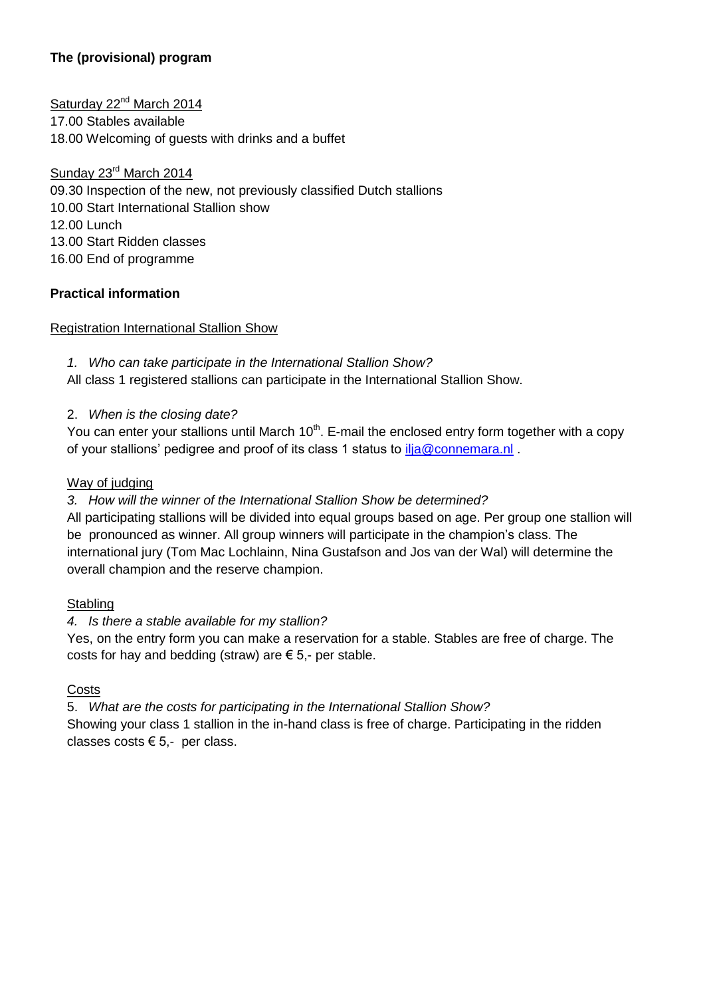## **The (provisional) program**

Saturday 22<sup>nd</sup> March 2014 17.00 Stables available 18.00 Welcoming of guests with drinks and a buffet

Sunday 23rd March 2014 09.30 Inspection of the new, not previously classified Dutch stallions 10.00 Start International Stallion show 12.00 Lunch 13.00 Start Ridden classes 16.00 End of programme

## **Practical information**

Registration International Stallion Show

*1. Who can take participate in the International Stallion Show?*

All class 1 registered stallions can participate in the International Stallion Show.

#### 2. *When is the closing date?*

You can enter your stallions until March  $10<sup>th</sup>$ . E-mail the enclosed entry form together with a copy of your stallions' pedigree and proof of its class 1 status to [ilja@connemara.nl](mailto:ilja@connemara.nl).

#### Way of judging

#### *3. How will the winner of the International Stallion Show be determined?*

All participating stallions will be divided into equal groups based on age. Per group one stallion will be pronounced as winner. All group winners will participate in the champion's class. The international jury (Tom Mac Lochlainn, Nina Gustafson and Jos van der Wal) will determine the overall champion and the reserve champion.

#### **Stabling**

## *4. Is there a stable available for my stallion?*

Yes, on the entry form you can make a reservation for a stable. Stables are free of charge. The costs for hay and bedding (straw) are  $\epsilon$  5,- per stable.

## **Costs**

5. *What are the costs for participating in the International Stallion Show?*  Showing your class 1 stallion in the in-hand class is free of charge. Participating in the ridden classes costs  $\epsilon$  5,- per class.